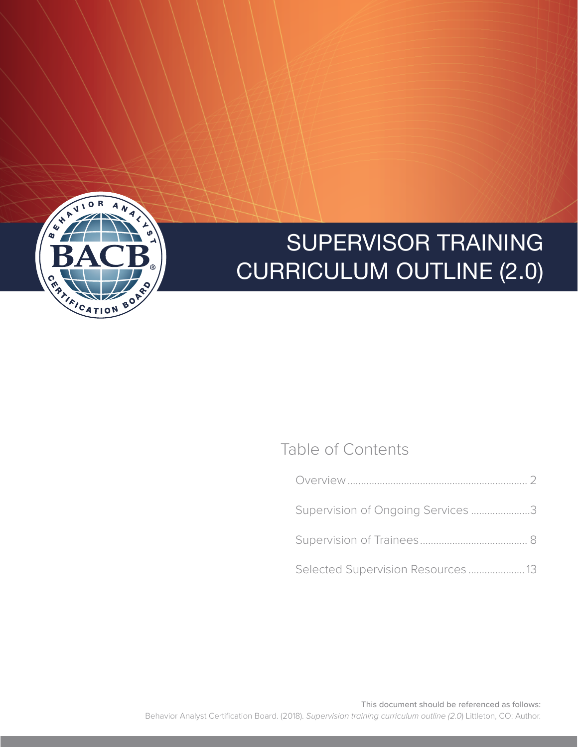

### Table of Contents

| Supervision of Ongoing Services 3  |  |
|------------------------------------|--|
|                                    |  |
| Selected Supervision Resources  13 |  |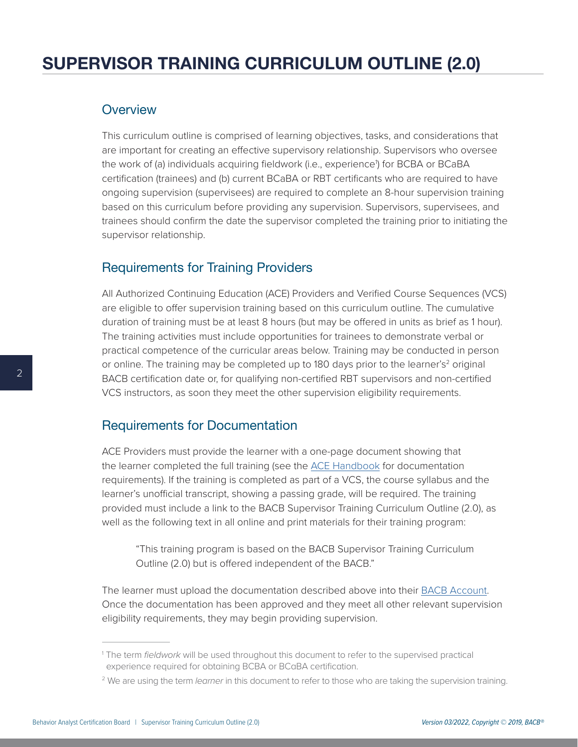#### <span id="page-1-0"></span>**Overview**

This curriculum outline is comprised of learning objectives, tasks, and considerations that are important for creating an effective supervisory relationship. Supervisors who oversee the work of (a) individuals acquiring fieldwork (i.e., experience<sup>1</sup>) for BCBA or BCaBA certification (trainees) and (b) current BCaBA or RBT certificants who are required to have ongoing supervision (supervisees) are required to complete an 8-hour supervision training based on this curriculum before providing any supervision. Supervisors, supervisees, and trainees should confirm the date the supervisor completed the training prior to initiating the supervisor relationship.

#### Requirements for Training Providers

All Authorized Continuing Education (ACE) Providers and Verified Course Sequences (VCS) are eligible to offer supervision training based on this curriculum outline. The cumulative duration of training must be at least 8 hours (but may be offered in units as brief as 1 hour). The training activities must include opportunities for trainees to demonstrate verbal or practical competence of the curricular areas below. Training may be conducted in person or online. The training may be completed up to 180 days prior to the learner's<sup>2</sup> original BACB certification date or, for qualifying non-certified RBT supervisors and non-certified VCS instructors, as soon they meet the other supervision eligibility requirements.

#### Requirements for Documentation

ACE Providers must provide the learner with a one-page document showing that the learner completed the full training (see the [ACE Handbook](https://www.bacb.com/wp-content/uploads/BACB-ACE-Provider-Handbook.pdf) for documentation requirements). If the training is completed as part of a VCS, the course syllabus and the learner's unofficial transcript, showing a passing grade, will be required. The training provided must include a link to the BACB Supervisor Training Curriculum Outline (2.0), as well as the following text in all online and print materials for their training program:

"This training program is based on the BACB Supervisor Training Curriculum Outline (2.0) but is offered independent of the BACB."

The learner must upload the documentation described above into their [BACB Account.](https://gateway.bacb.com/Account/Login.aspx) Once the documentation has been approved and they meet all other relevant supervision eligibility requirements, they may begin providing supervision.

<sup>1</sup> The term *fieldwork* will be used throughout this document to refer to the supervised practical experience required for obtaining BCBA or BCaBA certification.

<sup>2</sup> We are using the term *learner* in this document to refer to those who are taking the supervision training.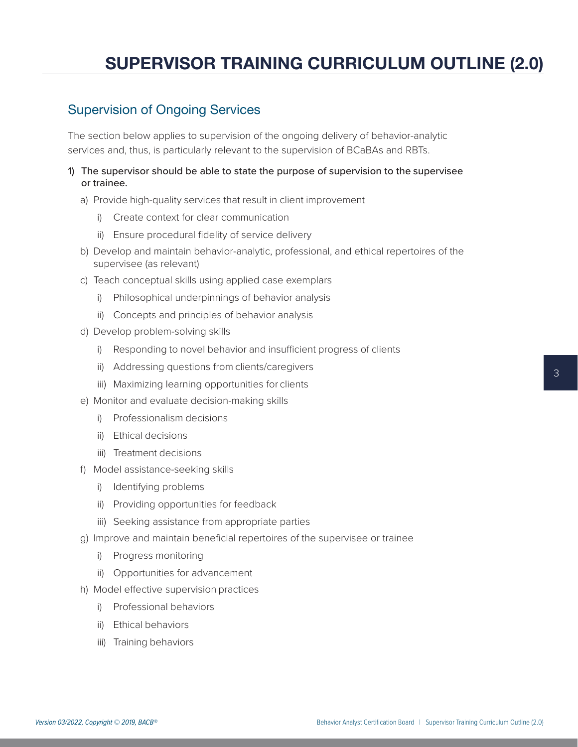#### <span id="page-2-0"></span>Supervision of Ongoing Services

The section below applies to supervision of the ongoing delivery of behavior-analytic services and, thus, is particularly relevant to the supervision of BCaBAs and RBTs.

- 1) The supervisor should be able to state the purpose of supervision to the supervisee or trainee.
	- a) Provide high-quality services that result in client improvement
		- i) Create context for clear communication
		- ii) Ensure procedural fidelity of service delivery
	- b) Develop and maintain behavior-analytic, professional, and ethical repertoires of the supervisee (as relevant)
	- c) Teach conceptual skills using applied case exemplars
		- i) Philosophical underpinnings of behavior analysis
		- ii) Concepts and principles of behavior analysis
	- d) Develop problem-solving skills
		- i) Responding to novel behavior and insufficient progress of clients
		- ii) Addressing questions from clients/caregivers
		- iii) Maximizing learning opportunities for clients
	- e) Monitor and evaluate decision-making skills
		- i) Professionalism decisions
		- ii) Ethical decisions
		- iii) Treatment decisions
	- f) Model assistance-seeking skills
		- i) Identifying problems
		- ii) Providing opportunities for feedback
		- iii) Seeking assistance from appropriate parties
	- g) Improve and maintain beneficial repertoires of the supervisee or trainee
		- i) Progress monitoring
		- ii) Opportunities for advancement
	- h) Model effective supervision practices
		- i) Professional behaviors
		- ii) Ethical behaviors
		- iii) Training behaviors

3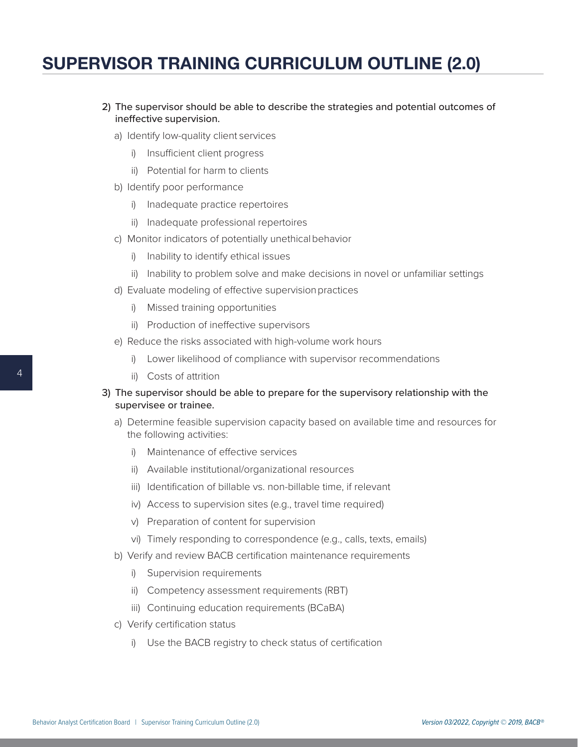- 2) The supervisor should be able to describe the strategies and potential outcomes of ineffective supervision.
	- a) Identify low-quality client services
		- i) Insufficient client progress
		- ii) Potential for harm to clients
	- b) Identify poor performance
		- i) Inadequate practice repertoires
		- ii) Inadequate professional repertoires
	- c) Monitor indicators of potentially unethical behavior
		- i) Inability to identify ethical issues
		- ii) Inability to problem solve and make decisions in novel or unfamiliar settings
	- d) Evaluate modeling of effective supervision practices
		- i) Missed training opportunities
		- ii) Production of ineffective supervisors
	- e) Reduce the risks associated with high-volume work hours
		- i) Lower likelihood of compliance with supervisor recommendations
		- ii) Costs of attrition
- 3) The supervisor should be able to prepare for the supervisory relationship with the supervisee or trainee.
	- a) Determine feasible supervision capacity based on available time and resources for the following activities:
		- i) Maintenance of effective services
		- ii) Available institutional/organizational resources
		- iii) Identification of billable vs. non-billable time, if relevant
		- iv) Access to supervision sites (e.g., travel time required)
		- v) Preparation of content for supervision
		- vi) Timely responding to correspondence (e.g., calls, texts, emails)
	- b) Verify and review BACB certification maintenance requirements
		- i) Supervision requirements
		- ii) Competency assessment requirements (RBT)
		- iii) Continuing education requirements (BCaBA)
	- c) Verify certification status
		- i) Use the BACB registry to check status of certification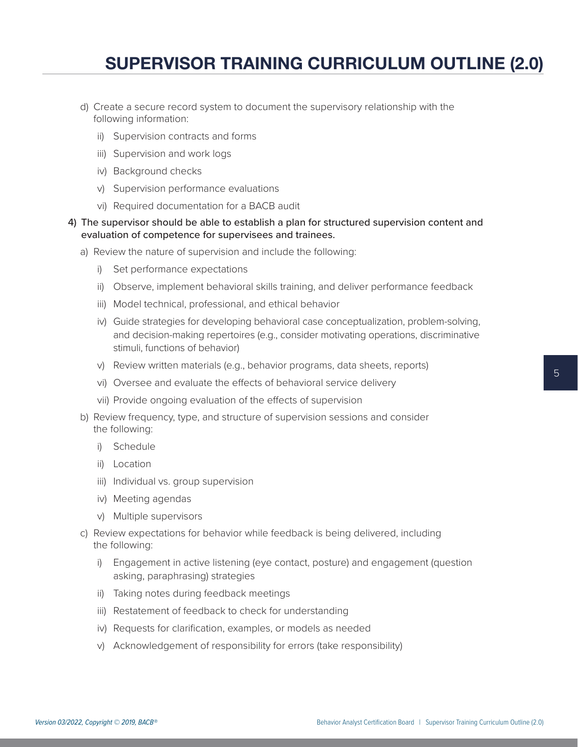- d) Create a secure record system to document the supervisory relationship with the following information:
	- ii) Supervision contracts and forms
	- iii) Supervision and work logs
	- iv) Background checks
	- v) Supervision performance evaluations
	- vi) Required documentation for a BACB audit
- 4) The supervisor should be able to establish a plan for structured supervision content and evaluation of competence for supervisees and trainees.
	- a) Review the nature of supervision and include the following:
		- i) Set performance expectations
		- ii) Observe, implement behavioral skills training, and deliver performance feedback
		- iii) Model technical, professional, and ethical behavior
		- iv) Guide strategies for developing behavioral case conceptualization, problem-solving, and decision-making repertoires (e.g., consider motivating operations, discriminative stimuli, functions of behavior)
		- v) Review written materials (e.g., behavior programs, data sheets, reports)
		- vi) Oversee and evaluate the effects of behavioral service delivery
		- vii) Provide ongoing evaluation of the effects of supervision
	- b) Review frequency, type, and structure of supervision sessions and consider the following:
		- i) Schedule
		- ii) Location
		- iii) Individual vs. group supervision
		- iv) Meeting agendas
		- v) Multiple supervisors
	- c) Review expectations for behavior while feedback is being delivered, including the following:
		- i) Engagement in active listening (eye contact, posture) and engagement (question asking, paraphrasing) strategies
		- ii) Taking notes during feedback meetings
		- iii) Restatement of feedback to check for understanding
		- iv) Requests for clarification, examples, or models as needed
		- v) Acknowledgement of responsibility for errors (take responsibility)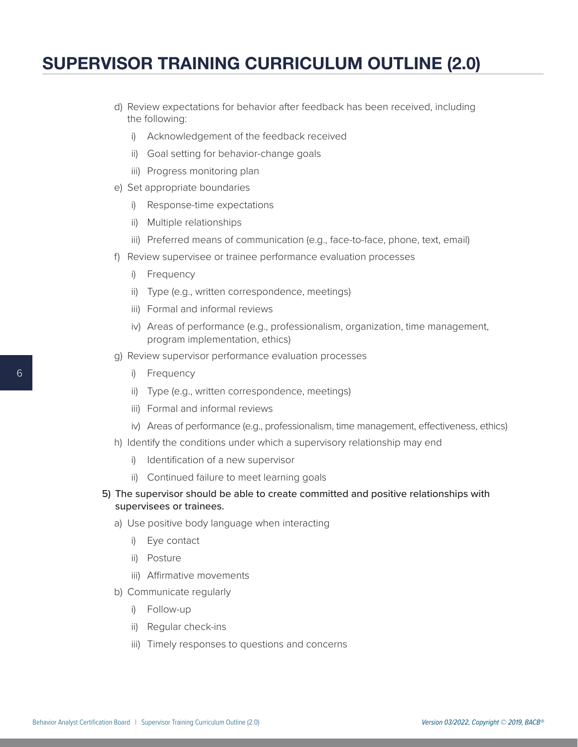- d) Review expectations for behavior after feedback has been received, including the following:
	- i) Acknowledgement of the feedback received
	- ii) Goal setting for behavior-change goals
	- iii) Progress monitoring plan
- e) Set appropriate boundaries
	- i) Response-time expectations
	- ii) Multiple relationships
	- iii) Preferred means of communication (e.g., face-to-face, phone, text, email)
- f) Review supervisee or trainee performance evaluation processes
	- i) Frequency
	- ii) Type (e.g., written correspondence, meetings)
	- iii) Formal and informal reviews
	- iv) Areas of performance (e.g., professionalism, organization, time management, program implementation, ethics)
- g) Review supervisor performance evaluation processes
	- i) Frequency
	- ii) Type (e.g., written correspondence, meetings)
	- iii) Formal and informal reviews
	- iv) Areas of performance (e.g., professionalism, time management, effectiveness, ethics)
- h) Identify the conditions under which a supervisory relationship may end
	- i) Identification of a new supervisor
	- ii) Continued failure to meet learning goals
- 5) The supervisor should be able to create committed and positive relationships with supervisees or trainees.
	- a) Use positive body language when interacting
		- i) Eye contact
		- ii) Posture
		- iii) Affirmative movements
	- b) Communicate regularly
		- i) Follow-up
		- ii) Regular check-ins
		- iii) Timely responses to questions and concerns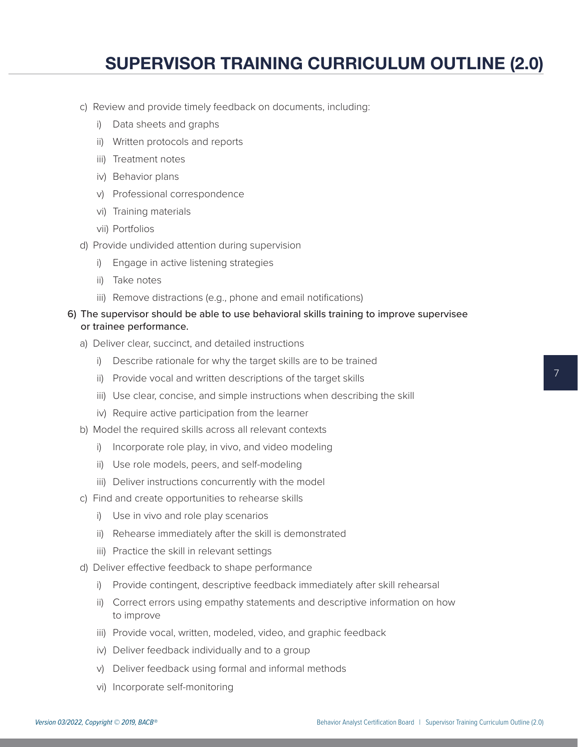- c) Review and provide timely feedback on documents, including:
	- i) Data sheets and graphs
	- ii) Written protocols and reports
	- iii) Treatment notes
	- iv) Behavior plans
	- v) Professional correspondence
	- vi) Training materials
	- vii) Portfolios
- d) Provide undivided attention during supervision
	- i) Engage in active listening strategies
	- ii) Take notes
	- iii) Remove distractions (e.g., phone and email notifications)

#### 6) The supervisor should be able to use behavioral skills training to improve supervisee or trainee performance.

- a) Deliver clear, succinct, and detailed instructions
	- i) Describe rationale for why the target skills are to be trained
	- ii) Provide vocal and written descriptions of the target skills
	- iii) Use clear, concise, and simple instructions when describing the skill
	- iv) Require active participation from the learner
- b) Model the required skills across all relevant contexts
	- i) Incorporate role play, in vivo, and video modeling
	- ii) Use role models, peers, and self-modeling
	- iii) Deliver instructions concurrently with the model
- c) Find and create opportunities to rehearse skills
	- i) Use in vivo and role play scenarios
	- ii) Rehearse immediately after the skill is demonstrated
	- iii) Practice the skill in relevant settings
- d) Deliver effective feedback to shape performance
	- i) Provide contingent, descriptive feedback immediately after skill rehearsal
	- ii) Correct errors using empathy statements and descriptive information on how to improve
	- iii) Provide vocal, written, modeled, video, and graphic feedback
	- iv) Deliver feedback individually and to a group
	- v) Deliver feedback using formal and informal methods
	- vi) Incorporate self-monitoring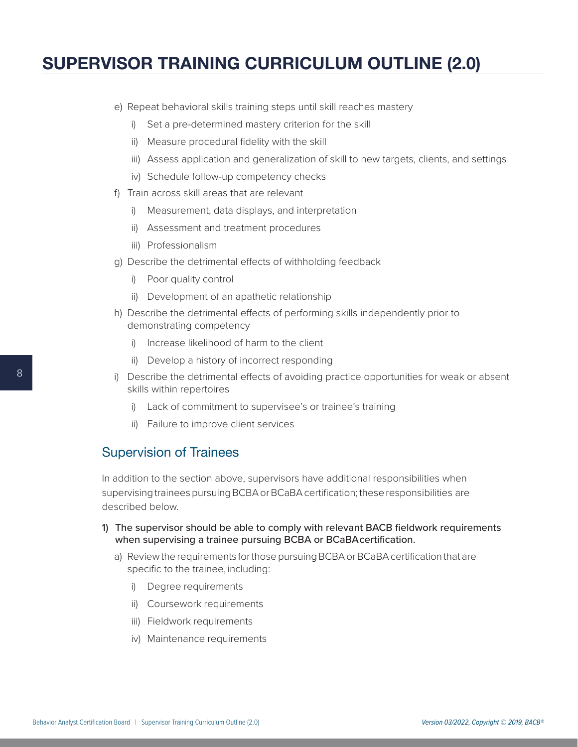- e) Repeat behavioral skills training steps until skill reaches mastery
	- i) Set a pre-determined mastery criterion for the skill
	- ii) Measure procedural fidelity with the skill
	- iii) Assess application and generalization of skill to new targets, clients, and settings
	- iv) Schedule follow-up competency checks
- f) Train across skill areas that are relevant
	- i) Measurement, data displays, and interpretation
	- ii) Assessment and treatment procedures
	- iii) Professionalism
- g) Describe the detrimental effects of withholding feedback
	- i) Poor quality control
	- ii) Development of an apathetic relationship
- h) Describe the detrimental effects of performing skills independently prior to demonstrating competency
	- i) Increase likelihood of harm to the client
	- ii) Develop a history of incorrect responding
- i) Describe the detrimental effects of avoiding practice opportunities for weak or absent skills within repertoires
	- i) Lack of commitment to supervisee's or trainee's training
	- ii) Failure to improve client services

#### <span id="page-7-0"></span>Supervision of Trainees

In addition to the section above, supervisors have additional responsibilities when supervising trainees pursuing BCBA or BCaBA certification; these responsibilities are described below.

- 1) The supervisor should be able to comply with relevant BACB fieldwork requirements when supervising a trainee pursuing BCBA or BCaBA certification.
	- a) Review the requirements for those pursuing BCBA or BCaBA certification that are specific to the trainee, including:
		- i) Degree requirements
		- ii) Coursework requirements
		- iii) Fieldwork requirements
		- iv) Maintenance requirements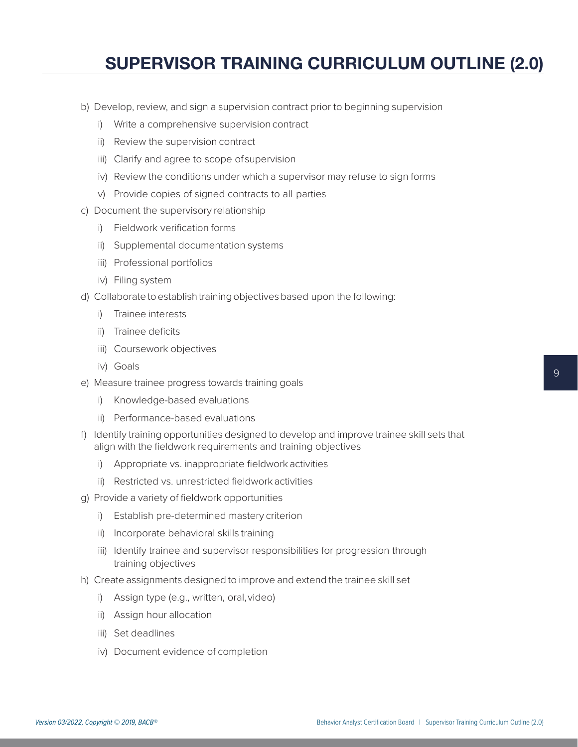- b) Develop, review, and sign a supervision contract prior to beginning supervision
	- i) Write a comprehensive supervision contract
	- ii) Review the supervision contract
	- iii) Clarify and agree to scope of supervision
	- iv) Review the conditions under which a supervisor may refuse to sign forms
	- v) Provide copies of signed contracts to all parties
- c) Document the supervisory relationship
	- i) Fieldwork verification forms
	- ii) Supplemental documentation systems
	- iii) Professional portfolios
	- iv) Filing system
- d) Collaborate to establish training objectives based upon the following:
	- i) Trainee interests
	- ii) Trainee deficits
	- iii) Coursework objectives
	- iv) Goals
- e) Measure trainee progress towards training goals
	- i) Knowledge-based evaluations
	- ii) Performance-based evaluations
- f) Identify training opportunities designed to develop and improve trainee skill sets that align with the fieldwork requirements and training objectives
	- i) Appropriate vs. inappropriate fieldwork activities
	- ii) Restricted vs. unrestricted fieldwork activities
- g) Provide a variety of fieldwork opportunities
	- i) Establish pre-determined mastery criterion
	- ii) Incorporate behavioral skills training
	- iii) Identify trainee and supervisor responsibilities for progression through training objectives
- h) Create assignments designed to improve and extend the trainee skill set
	- i) Assign type (e.g., written, oral, video)
	- ii) Assign hour allocation
	- iii) Set deadlines
	- iv) Document evidence of completion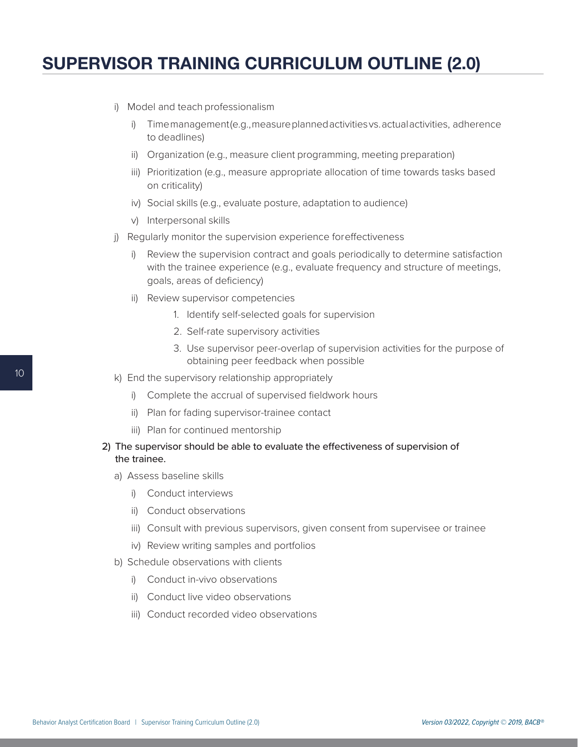- i) Model and teach professionalism
	- i) Time management (e.g., measure planned activities vs. actual activities, adherence to deadlines)
	- ii) Organization (e.g., measure client programming, meeting preparation)
	- iii) Prioritization (e.g., measure appropriate allocation of time towards tasks based on criticality)
	- iv) Social skills (e.g., evaluate posture, adaptation to audience)
	- v) Interpersonal skills
- j) Regularly monitor the supervision experience for effectiveness
	- i) Review the supervision contract and goals periodically to determine satisfaction with the trainee experience (e.g., evaluate frequency and structure of meetings, goals, areas of deficiency)
	- ii) Review supervisor competencies
		- 1. Identify self-selected goals for supervision
		- 2. Self-rate supervisory activities
		- 3. Use supervisor peer-overlap of supervision activities for the purpose of obtaining peer feedback when possible
- k) End the supervisory relationship appropriately
	- i) Complete the accrual of supervised fieldwork hours
	- ii) Plan for fading supervisor-trainee contact
	- iii) Plan for continued mentorship
- 2) The supervisor should be able to evaluate the effectiveness of supervision of the trainee.
	- a) Assess baseline skills
		- i) Conduct interviews
		- ii) Conduct observations
		- iii) Consult with previous supervisors, given consent from supervisee or trainee
		- iv) Review writing samples and portfolios
	- b) Schedule observations with clients
		- i) Conduct in-vivo observations
		- ii) Conduct live video observations
		- iii) Conduct recorded video observations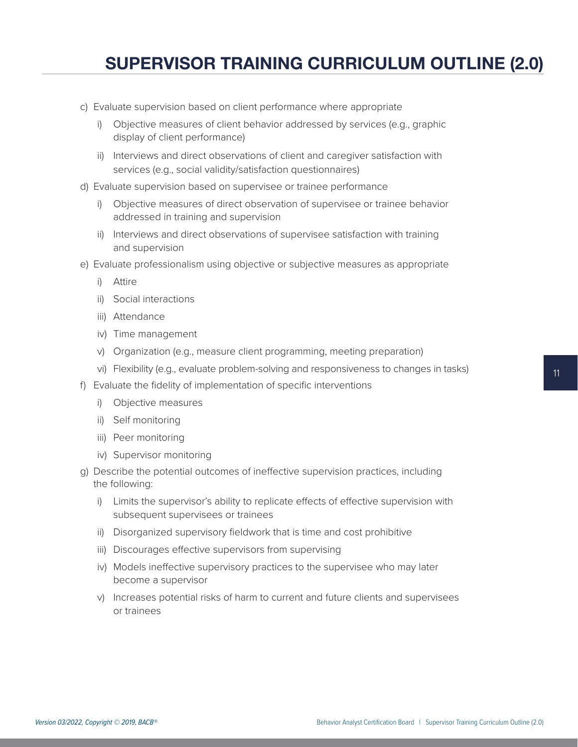- c) Evaluate supervision based on client performance where appropriate
	- i) Objective measures of client behavior addressed by services (e.g., graphic display of client performance)
	- ii) Interviews and direct observations of client and caregiver satisfaction with services (e.g., social validity/satisfaction questionnaires)
- d) Evaluate supervision based on supervisee or trainee performance
	- i) Objective measures of direct observation of supervisee or trainee behavior addressed in training and supervision
	- ii) Interviews and direct observations of supervisee satisfaction with training and supervision
- e) Evaluate professionalism using objective or subjective measures as appropriate
	- i) Attire
	- ii) Social interactions
	- iii) Attendance
	- iv) Time management
	- v) Organization (e.g., measure client programming, meeting preparation)
	- vi) Flexibility (e.g., evaluate problem-solving and responsiveness to changes in tasks)
- f) Evaluate the fidelity of implementation of specific interventions
	- i) Objective measures
	- ii) Self monitoring
	- iii) Peer monitoring
	- iv) Supervisor monitoring
- g) Describe the potential outcomes of ineffective supervision practices, including the following:
	- i) Limits the supervisor's ability to replicate effects of effective supervision with subsequent supervisees or trainees
	- ii) Disorganized supervisory fieldwork that is time and cost prohibitive
	- iii) Discourages effective supervisors from supervising
	- iv) Models ineffective supervisory practices to the supervisee who may later become a supervisor
	- v) Increases potential risks of harm to current and future clients and supervisees or trainees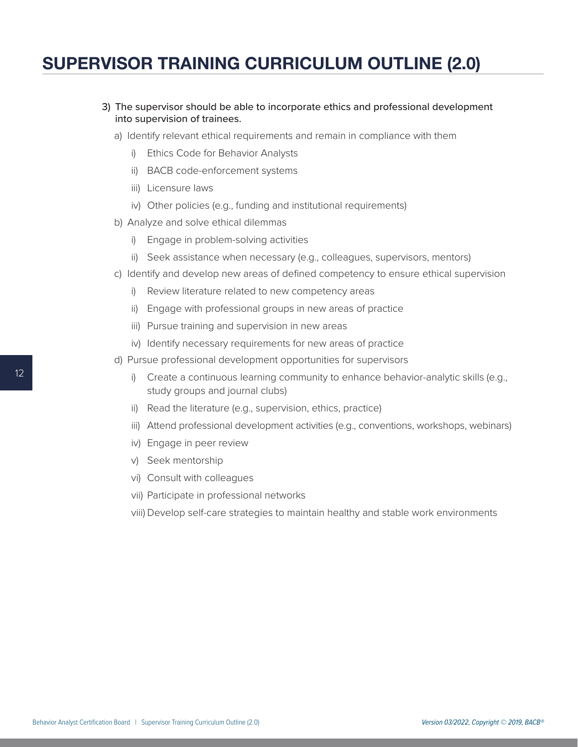- 3) The supervisor should be able to incorporate ethics and professional development into supervision of trainees.
	- a) Identify relevant ethical requirements and remain in compliance with them
		- i) Ethics Code for Behavior Analysts
		- ii) BACB code-enforcement systems
		- iii) Licensure laws
		- iv) Other policies (e.g., funding and institutional requirements)
	- b) Analyze and solve ethical dilemmas
		- i) Engage in problem-solving activities
		- ii) Seek assistance when necessary (e.g., colleagues, supervisors, mentors)
	- c) Identify and develop new areas of defined competency to ensure ethical supervision
		- i) Review literature related to new competency areas
		- ii) Engage with professional groups in new areas of practice
		- iii) Pursue training and supervision in new areas
		- iv) Identify necessary requirements for new areas of practice
	- d) Pursue professional development opportunities for supervisors
		- i) Create a continuous learning community to enhance behavior-analytic skills (e.g., study groups and journal clubs)
		- ii) Read the literature (e.g., supervision, ethics, practice)
		- iii) Attend professional development activities (e.g., conventions, workshops, webinars)
		- iv) Engage in peer review
		- v) Seek mentorship
		- vi) Consult with colleagues
		- vii) Participate in professional networks
		- viii) Develop self-care strategies to maintain healthy and stable work environments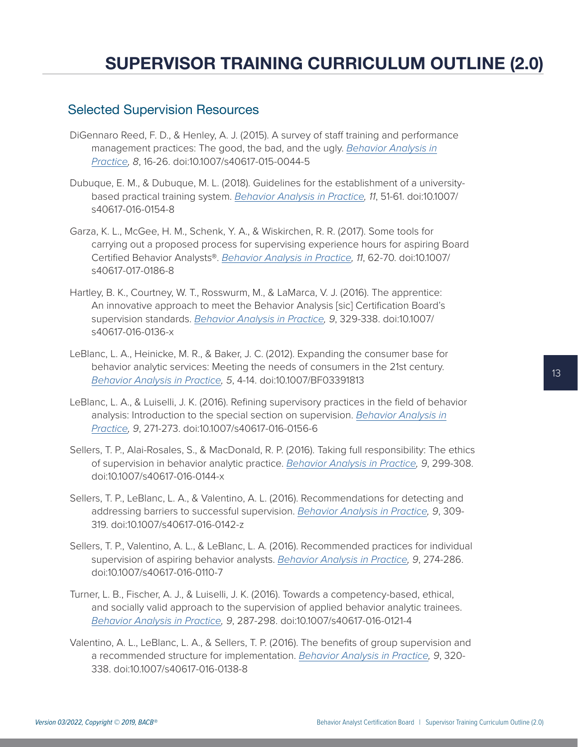#### <span id="page-12-0"></span>Selected Supervision Resources

- DiGennaro Reed, F. D., & Henley, A. J. (2015). A survey of staff training and performance management practices: The good, the bad, and the ugly. *[Behavior Analysis in](https://www.ncbi.nlm.nih.gov/pmc/articles/PMC5048247/) [Practice](https://www.ncbi.nlm.nih.gov/pmc/articles/PMC5048247/), 8*, 16-26. doi:10.1007/s40617-015-0044-5
- Dubuque, E. M., & Dubuque, M. L. (2018). Guidelines for the establishment of a universitybased practical training system. *[Behavior Analysis in Practice,](https://www.ncbi.nlm.nih.gov/pmc/articles/PMC5843566/) 11*, 51-61. doi:10.1007/ s40617-016-0154-8
- Garza, K. L., McGee, H. M., Schenk, Y. A., & Wiskirchen, R. R. (2017). Some tools for carrying out a proposed process for supervising experience hours for aspiring Board Certified Behavior Analysts®. *[Behavior Analysis in Practice](https://www.ncbi.nlm.nih.gov/pmc/articles/PMC5843570/), 11*, 62-70. doi:10.1007/ s40617-017-0186-8
- Hartley, B. K., Courtney, W. T., Rosswurm, M., & LaMarca, V. J. (2016). The apprentice: An innovative approach to meet the Behavior Analysis [sic] Certification Board's supervision standards. *[Behavior Analysis in Practice](https://www.ncbi.nlm.nih.gov/pmc/articles/PMC5118256/), 9*, 329-338. doi:10.1007/ s40617-016-0136-x
- LeBlanc, L. A., Heinicke, M. R., & Baker, J. C. (2012). Expanding the consumer base for behavior analytic services: Meeting the needs of consumers in the 21st century. *[Behavior Analysis in Practice](https://www.ncbi.nlm.nih.gov/pmc/articles/PMC3546640/), 5*, 4-14. doi:10.1007/BF03391813
- LeBlanc, L. A., & Luiselli, J. K. (2016). Refining supervisory practices in the field of behavior analysis: Introduction to the special section on supervision. *[Behavior Analysis in](https://www.ncbi.nlm.nih.gov/pmc/articles/PMC5118263/) [Practice](https://www.ncbi.nlm.nih.gov/pmc/articles/PMC5118263/), 9*, 271-273. doi:10.1007/s40617-016-0156-6
- Sellers, T. P., Alai-Rosales, S., & MacDonald, R. P. (2016). Taking full responsibility: The ethics of supervision in behavior analytic practice. *[Behavior Analysis in Practice,](https://www.ncbi.nlm.nih.gov/pubmed/27920961) 9*, 299-308. doi:10.1007/s40617-016-0144-x
- Sellers, T. P., LeBlanc, L. A., & Valentino, A. L. (2016). Recommendations for detecting and addressing barriers to successful supervision. *[Behavior Analysis in Practice,](https://www.ncbi.nlm.nih.gov/pmc/articles/PMC5118258/) 9*, 309- 319. doi:10.1007/s40617-016-0142-z
- Sellers, T. P., Valentino, A. L., & LeBlanc, L. A. (2016). Recommended practices for individual supervision of aspiring behavior analysts. *[Behavior Analysis in Practice,](https://www.ncbi.nlm.nih.gov/pmc/articles/PMC5118252/) 9*, 274-286. doi:10.1007/s40617-016-0110-7
- Turner, L. B., Fischer, A. J., & Luiselli, J. K. (2016). Towards a competency-based, ethical, and socially valid approach to the supervision of applied behavior analytic trainees. *[Behavior Analysis in Practice](https://www.ncbi.nlm.nih.gov/pmc/articles/PMC5118253/), 9*, 287-298. doi:10.1007/s40617-016-0121-4
- Valentino, A. L., LeBlanc, L. A., & Sellers, T. P. (2016). The benefits of group supervision and a recommended structure for implementation. *[Behavior Analysis in Practice,](https://www.ncbi.nlm.nih.gov/pubmed/27920963) 9*, 320- 338. doi:10.1007/s40617-016-0138-8